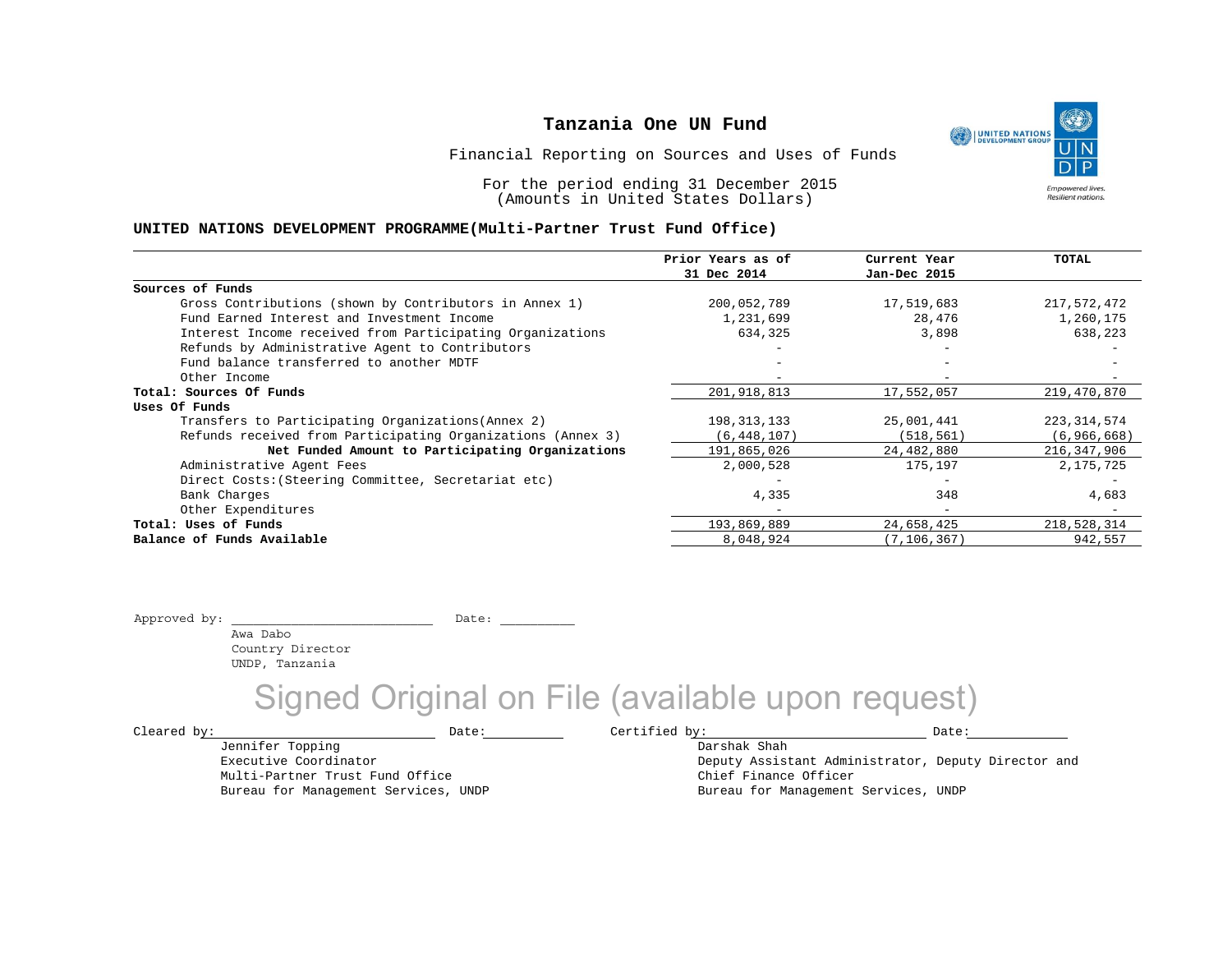UNITED NATIONS **Empowered lives Resilient nations.** 

Financial Reporting on Sources and Uses of Funds

For the period ending 31 December 2015 (Amounts in United States Dollars)

#### **UNITED NATIONS DEVELOPMENT PROGRAMME(Multi-Partner Trust Fund Office)**

|                                                             | Prior Years as of | Current Year             | TOTAL         |
|-------------------------------------------------------------|-------------------|--------------------------|---------------|
|                                                             | 31 Dec 2014       | Jan-Dec 2015             |               |
| Sources of Funds                                            |                   |                          |               |
| Gross Contributions (shown by Contributors in Annex 1)      | 200,052,789       | 17,519,683               | 217,572,472   |
| Fund Earned Interest and Investment Income                  | 1,231,699         | 28,476                   | 1,260,175     |
| Interest Income received from Participating Organizations   | 634,325           | 3,898                    | 638,223       |
| Refunds by Administrative Agent to Contributors             |                   |                          |               |
| Fund balance transferred to another MDTF                    |                   |                          |               |
| Other Income                                                |                   |                          |               |
| Total: Sources Of Funds                                     | 201,918,813       | 17,552,057               | 219,470,870   |
| Uses Of Funds                                               |                   |                          |               |
| Transfers to Participating Organizations (Annex 2)          | 198,313,133       | 25,001,441               | 223, 314, 574 |
| Refunds received from Participating Organizations (Annex 3) | (6, 448, 107)     | (518, 561)               | (6, 966, 668) |
| Net Funded Amount to Participating Organizations            | 191,865,026       | 24,482,880               | 216,347,906   |
| Administrative Agent Fees                                   | 2,000,528         | 175,197                  | 2,175,725     |
| Direct Costs: (Steering Committee, Secretariat etc)         |                   |                          |               |
| Bank Charges                                                | 4,335             | 348                      | 4,683         |
| Other Expenditures                                          |                   | $\overline{\phantom{0}}$ |               |
| Total: Uses of Funds                                        | 193,869,889       | 24,658,425               | 218,528,314   |
| Balance of Funds Available                                  | 8,048,924         | (7, 106, 367)            | 942,557       |

Approved by: \_\_\_\_\_\_\_\_\_\_\_\_\_\_\_\_\_\_\_\_\_\_\_\_\_\_\_ Date: \_\_\_\_\_\_\_\_\_\_

 Awa Dabo Country Director UNDP, Tanzania

Jennifer Topping Executive Coordinator

Multi-Partner Trust Fund Office Bureau for Management Services, UNDP

## Signed Original on File (available upon request)

 $\texttt{Cleared by:}\footnotesize \begin{minipage}{14pt} \begin{tabular}{p{0.87\textwidth}p{0.87\textwidth}} \centering \end{tabular} \end{minipage}$ 

Darshak Shah Deputy Assistant Administrator, Deputy Director and Chief Finance Officer Bureau for Management Services, UNDP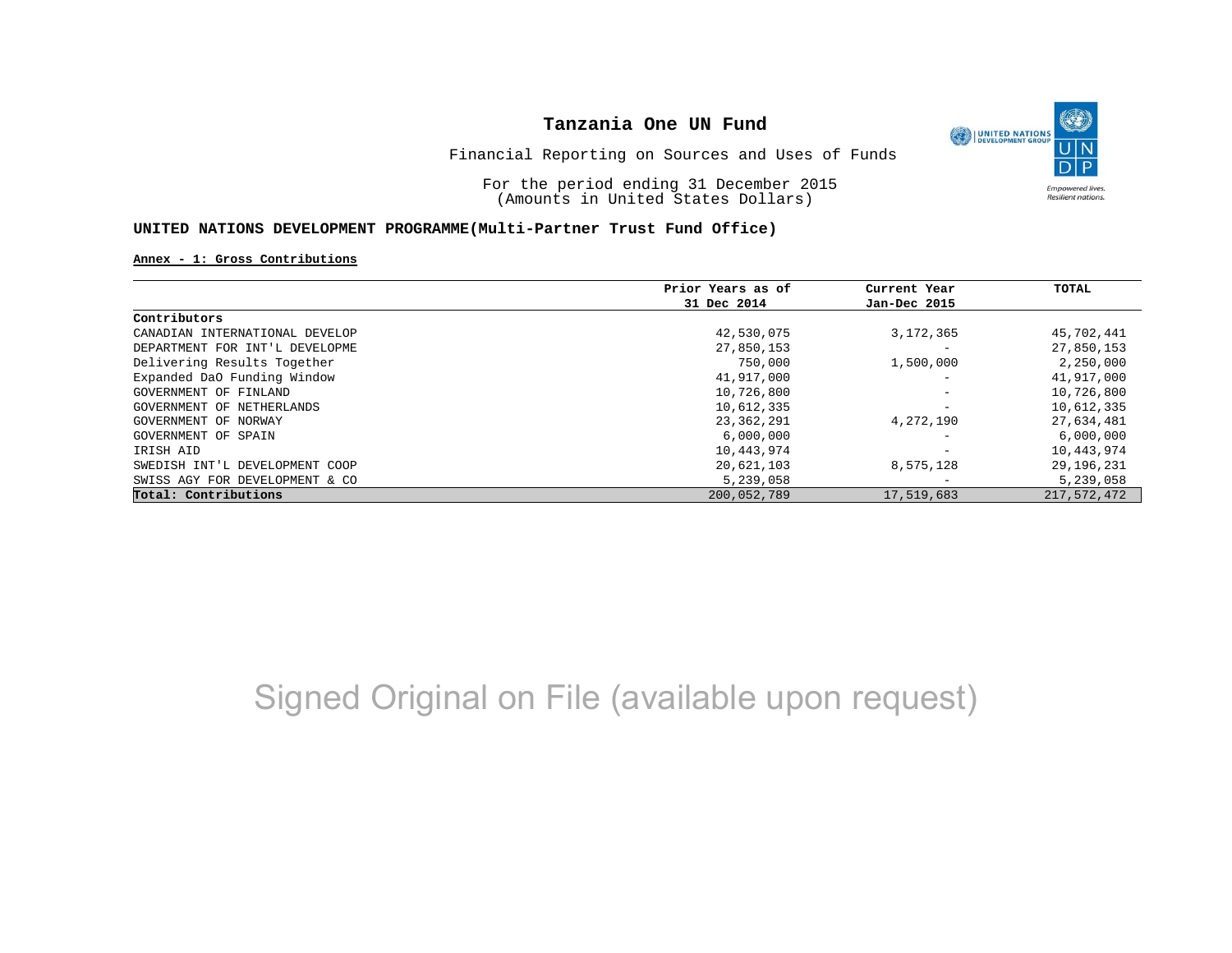

Financial Reporting on Sources and Uses of Funds

For the period ending 31 December 2015 (Amounts in United States Dollars)

### **UNITED NATIONS DEVELOPMENT PROGRAMME(Multi-Partner Trust Fund Office)**

#### **Annex - 1: Gross Contributions**

|                                | Prior Years as of | Current Year                 | TOTAL        |
|--------------------------------|-------------------|------------------------------|--------------|
|                                | 31 Dec 2014       | Jan-Dec 2015                 |              |
| Contributors                   |                   |                              |              |
| CANADIAN INTERNATIONAL DEVELOP | 42,530,075        | 3, 172, 365                  | 45,702,441   |
| DEPARTMENT FOR INT'L DEVELOPME | 27,850,153        |                              | 27,850,153   |
| Delivering Results Together    | 750,000           | 1,500,000                    | 2,250,000    |
| Expanded DaO Funding Window    | 41,917,000        | $\qquad \qquad \blacksquare$ | 41,917,000   |
| GOVERNMENT OF FINLAND          | 10,726,800        | $\qquad \qquad \blacksquare$ | 10,726,800   |
| GOVERNMENT OF NETHERLANDS      | 10,612,335        | $\qquad \qquad \blacksquare$ | 10,612,335   |
| GOVERNMENT OF NORWAY           | 23,362,291        | 4,272,190                    | 27,634,481   |
| GOVERNMENT OF SPAIN            | 6,000,000         | -                            | 6,000,000    |
| IRISH AID                      | 10,443,974        | $\overline{\phantom{0}}$     | 10,443,974   |
| SWEDISH INT'L DEVELOPMENT COOP | 20,621,103        | 8,575,128                    | 29, 196, 231 |
| SWISS AGY FOR DEVELOPMENT & CO | 5,239,058         | $\overline{\phantom{0}}$     | 5,239,058    |
| Total: Contributions           | 200,052,789       | 17,519,683                   | 217,572,472  |

# Signed Original on File (available upon request)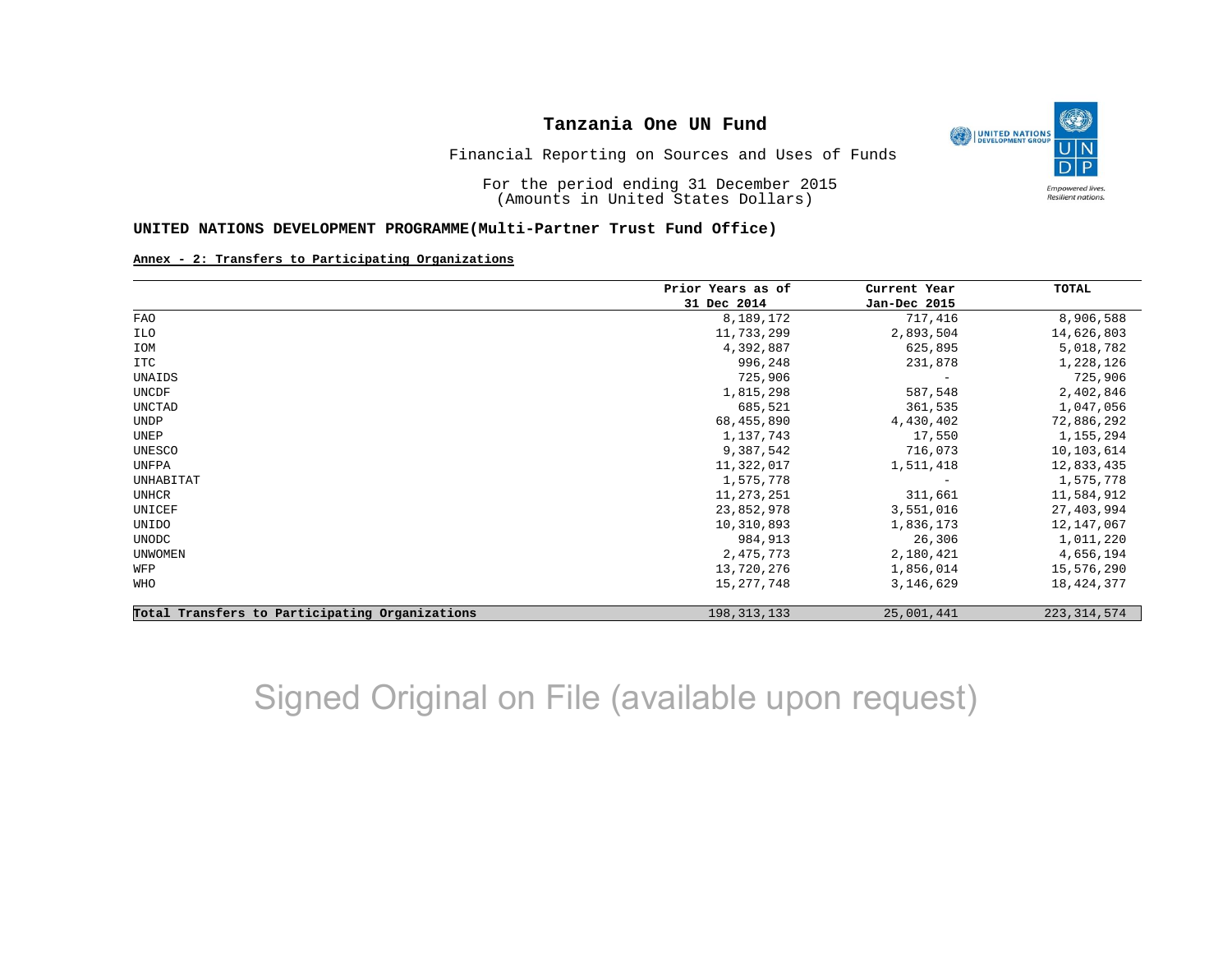

Financial Reporting on Sources and Uses of Funds

For the period ending 31 December 2015 (Amounts in United States Dollars)

#### **UNITED NATIONS DEVELOPMENT PROGRAMME(Multi-Partner Trust Fund Office)**

#### **Annex - 2: Transfers to Participating Organizations**

|                                                | Prior Years as of | Current Year<br>Jan-Dec 2015 | TOTAL         |
|------------------------------------------------|-------------------|------------------------------|---------------|
|                                                | 31 Dec 2014       |                              |               |
| <b>FAO</b>                                     | 8,189,172         | 717,416                      | 8,906,588     |
| ILO                                            | 11,733,299        | 2,893,504                    | 14,626,803    |
| IOM                                            | 4,392,887         | 625,895                      | 5,018,782     |
| ITC                                            | 996,248           | 231,878                      | 1,228,126     |
| UNAIDS                                         | 725,906           | $\overline{\phantom{m}}$     | 725,906       |
| UNCDF                                          | 1,815,298         | 587,548                      | 2,402,846     |
| UNCTAD                                         | 685,521           | 361,535                      | 1,047,056     |
| <b>UNDP</b>                                    | 68,455,890        | 4,430,402                    | 72,886,292    |
| UNEP                                           | 1,137,743         | 17,550                       | 1,155,294     |
| UNESCO                                         | 9,387,542         | 716,073                      | 10,103,614    |
| UNFPA                                          | 11,322,017        | 1,511,418                    | 12,833,435    |
| UNHABITAT                                      | 1,575,778         |                              | 1,575,778     |
| UNHCR                                          | 11, 273, 251      | 311,661                      | 11,584,912    |
| UNICEF                                         | 23,852,978        | 3,551,016                    | 27,403,994    |
| UNIDO                                          | 10,310,893        | 1,836,173                    | 12,147,067    |
| UNODC                                          | 984,913           | 26,306                       | 1,011,220     |
| <b>UNWOMEN</b>                                 | 2,475,773         | 2,180,421                    | 4,656,194     |
| WFP                                            | 13,720,276        | 1,856,014                    | 15,576,290    |
| WHO                                            | 15, 277, 748      | 3,146,629                    | 18,424,377    |
| Total Transfers to Participating Organizations | 198, 313, 133     | 25,001,441                   | 223, 314, 574 |

# Signed Original on File (available upon request)